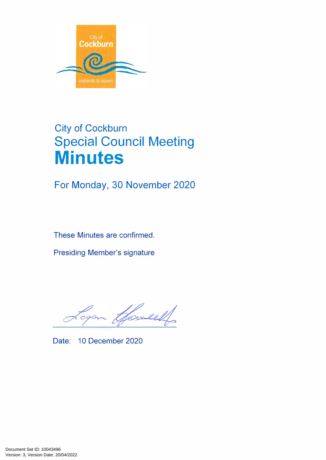

# City of Cockburn **Special Council Meeting Minutes**

For Monday, 30 November 2020

These Minutes are confirmed.

Presiding Member's signature

Joweel

Date: 10 December 2020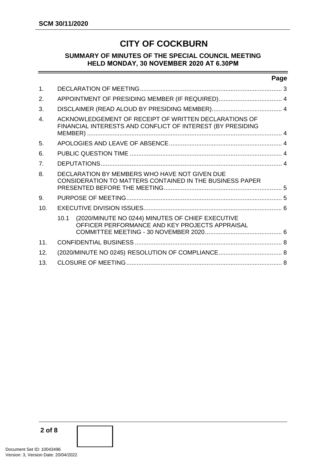# **CITY OF COCKBURN**

#### **SUMMARY OF MINUTES OF THE SPECIAL COUNCIL MEETING HELD MONDAY, 30 NOVEMBER 2020 AT 6.30PM**

#### **Page**

| $\mathbf 1$ .    |                                                                                                                     |  |  |  |  |
|------------------|---------------------------------------------------------------------------------------------------------------------|--|--|--|--|
| 2.               |                                                                                                                     |  |  |  |  |
| 3.               |                                                                                                                     |  |  |  |  |
| $\overline{4}$ . | ACKNOWLEDGEMENT OF RECEIPT OF WRITTEN DECLARATIONS OF<br>FINANCIAL INTERESTS AND CONFLICT OF INTEREST (BY PRESIDING |  |  |  |  |
| 5.               |                                                                                                                     |  |  |  |  |
| 6.               |                                                                                                                     |  |  |  |  |
| 7.               |                                                                                                                     |  |  |  |  |
| 8.               | DECLARATION BY MEMBERS WHO HAVE NOT GIVEN DUE<br><b>CONSIDERATION TO MATTERS CONTAINED IN THE BUSINESS PAPER</b>    |  |  |  |  |
| 9.               |                                                                                                                     |  |  |  |  |
| 10.              |                                                                                                                     |  |  |  |  |
|                  | (2020/MINUTE NO 0244) MINUTES OF CHIEF EXECUTIVE<br>10.1<br>OFFICER PERFORMANCE AND KEY PROJECTS APPRAISAL          |  |  |  |  |
| 11.              |                                                                                                                     |  |  |  |  |
| 12.              |                                                                                                                     |  |  |  |  |
| 13.              |                                                                                                                     |  |  |  |  |

**2 of 8**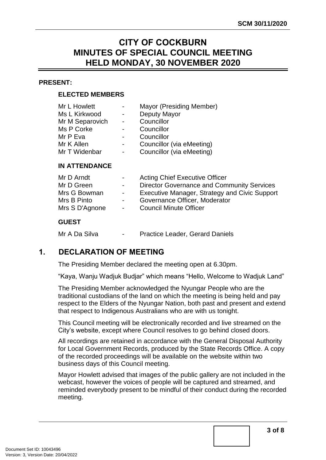## **CITY OF COCKBURN MINUTES OF SPECIAL COUNCIL MEETING HELD MONDAY, 30 NOVEMBER 2020**

#### **PRESENT:**

#### **ELECTED MEMBERS**

| Mr L Howlett    | $\sim$                   | Mayor (Presiding Member)  |  |
|-----------------|--------------------------|---------------------------|--|
| Ms L Kirkwood   | $\sim$                   | Deputy Mayor              |  |
| Mr M Separovich | $\sim 100$               | Councillor                |  |
| Ms P Corke      |                          | Councillor                |  |
| Mr P Eva        |                          | Councillor                |  |
| Mr K Allen      | $\sim$                   | Councillor (via eMeeting) |  |
| Mr T Widenbar   | $\overline{\phantom{0}}$ | Councillor (via eMeeting) |  |

#### **IN ATTENDANCE**

| Mr D Arndt     |                          | <b>Acting Chief Executive Officer</b>             |
|----------------|--------------------------|---------------------------------------------------|
| Mr D Green     | $\overline{\phantom{0}}$ | <b>Director Governance and Community Services</b> |
| Mrs G Bowman   | $\sim$                   | Executive Manager, Strategy and Civic Support     |
| Mrs B Pinto    | $\sim$                   | Governance Officer, Moderator                     |
| Mrs S D'Agnone | $\sim$                   | <b>Council Minute Officer</b>                     |

#### **GUEST**

Mr A Da Silva - Practice Leader, Gerard Daniels

## <span id="page-2-0"></span>**1. DECLARATION OF MEETING**

The Presiding Member declared the meeting open at 6.30pm.

"Kaya, Wanju Wadjuk Budjar" which means "Hello, Welcome to Wadjuk Land"

The Presiding Member acknowledged the Nyungar People who are the traditional custodians of the land on which the meeting is being held and pay respect to the Elders of the Nyungar Nation, both past and present and extend that respect to Indigenous Australians who are with us tonight.

This Council meeting will be electronically recorded and live streamed on the City's website, except where Council resolves to go behind closed doors.

All recordings are retained in accordance with the General Disposal Authority for Local Government Records, produced by the State Records Office. A copy of the recorded proceedings will be available on the website within two business days of this Council meeting.

Mayor Howlett advised that images of the public gallery are not included in the webcast, however the voices of people will be captured and streamed, and reminded everybody present to be mindful of their conduct during the recorded meeting.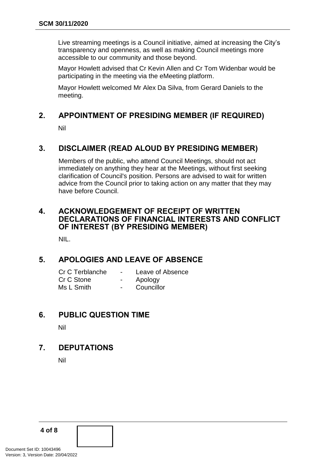Live streaming meetings is a Council initiative, aimed at increasing the City's transparency and openness, as well as making Council meetings more accessible to our community and those beyond.

Mayor Howlett advised that Cr Kevin Allen and Cr Tom Widenbar would be participating in the meeting via the eMeeting platform.

Mayor Howlett welcomed Mr Alex Da Silva, from Gerard Daniels to the meeting.

## <span id="page-3-0"></span>**2. APPOINTMENT OF PRESIDING MEMBER (IF REQUIRED)**

Nil

## <span id="page-3-1"></span>**3. DISCLAIMER (READ ALOUD BY PRESIDING MEMBER)**

Members of the public, who attend Council Meetings, should not act immediately on anything they hear at the Meetings, without first seeking clarification of Council's position. Persons are advised to wait for written advice from the Council prior to taking action on any matter that they may have before Council.

## <span id="page-3-2"></span>**4. ACKNOWLEDGEMENT OF RECEIPT OF WRITTEN DECLARATIONS OF FINANCIAL INTERESTS AND CONFLICT OF INTEREST (BY PRESIDING MEMBER)**

NIL.

## <span id="page-3-3"></span>**5. APOLOGIES AND LEAVE OF ABSENCE**

| Cr C Terblanche | Leave of Absence |
|-----------------|------------------|
| Cr C Stone      | Apology          |
| Ms L Smith      | Councillor       |

## <span id="page-3-4"></span>**6. PUBLIC QUESTION TIME**

Nil

## <span id="page-3-5"></span>**7. DEPUTATIONS**

Nil

**4 of 8**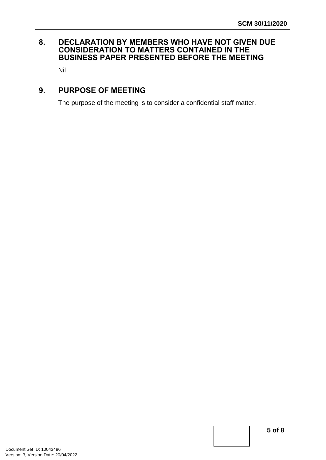## <span id="page-4-0"></span>**8. DECLARATION BY MEMBERS WHO HAVE NOT GIVEN DUE CONSIDERATION TO MATTERS CONTAINED IN THE BUSINESS PAPER PRESENTED BEFORE THE MEETING**

Nil

## <span id="page-4-1"></span>**9. PURPOSE OF MEETING**

The purpose of the meeting is to consider a confidential staff matter.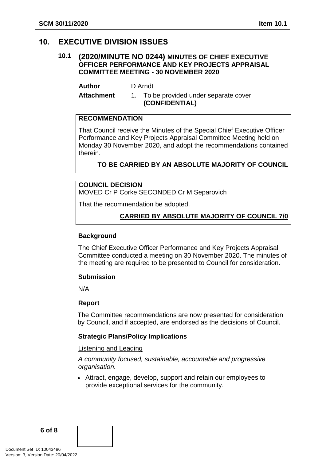## <span id="page-5-1"></span><span id="page-5-0"></span>**10. EXECUTIVE DIVISION ISSUES**

#### **10.1 (2020/MINUTE NO 0244) MINUTES OF CHIEF EXECUTIVE OFFICER PERFORMANCE AND KEY PROJECTS APPRAISAL COMMITTEE MEETING - 30 NOVEMBER 2020**

**Author** D Arndt

Attachment 1. To be provided under separate cover **(CONFIDENTIAL)**

#### **RECOMMENDATION**

That Council receive the Minutes of the Special Chief Executive Officer Performance and Key Projects Appraisal Committee Meeting held on Monday 30 November 2020, and adopt the recommendations contained therein.

**TO BE CARRIED BY AN ABSOLUTE MAJORITY OF COUNCIL**

## **COUNCIL DECISION**

MOVED Cr P Corke SECONDED Cr M Separovich

That the recommendation be adopted.

#### **CARRIED BY ABSOLUTE MAJORITY OF COUNCIL 7/0**

#### **Background**

The Chief Executive Officer Performance and Key Projects Appraisal Committee conducted a meeting on 30 November 2020. The minutes of the meeting are required to be presented to Council for consideration.

#### **Submission**

N/A

#### **Report**

The Committee recommendations are now presented for consideration by Council, and if accepted, are endorsed as the decisions of Council.

#### **Strategic Plans/Policy Implications**

#### Listening and Leading

*A community focused, sustainable, accountable and progressive organisation.* 

 Attract, engage, develop, support and retain our employees to provide exceptional services for the community.

**6 of 8**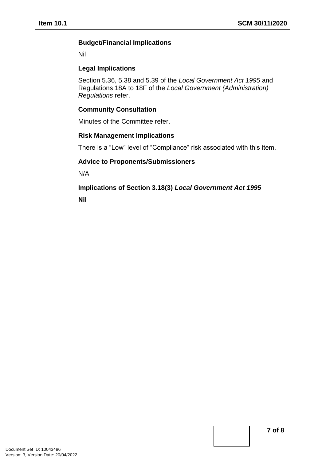#### **Budget/Financial Implications**

Nil

#### **Legal Implications**

Section 5.36, 5.38 and 5.39 of the *Local Government Act 1995* and Regulations 18A to 18F of the *Local Government (Administration) Regulations* refer.

#### **Community Consultation**

Minutes of the Committee refer.

#### **Risk Management Implications**

There is a "Low" level of "Compliance" risk associated with this item.

## **Advice to Proponents/Submissioners**

N/A

**Implications of Section 3.18(3)** *Local Government Act 1995*

**Nil**